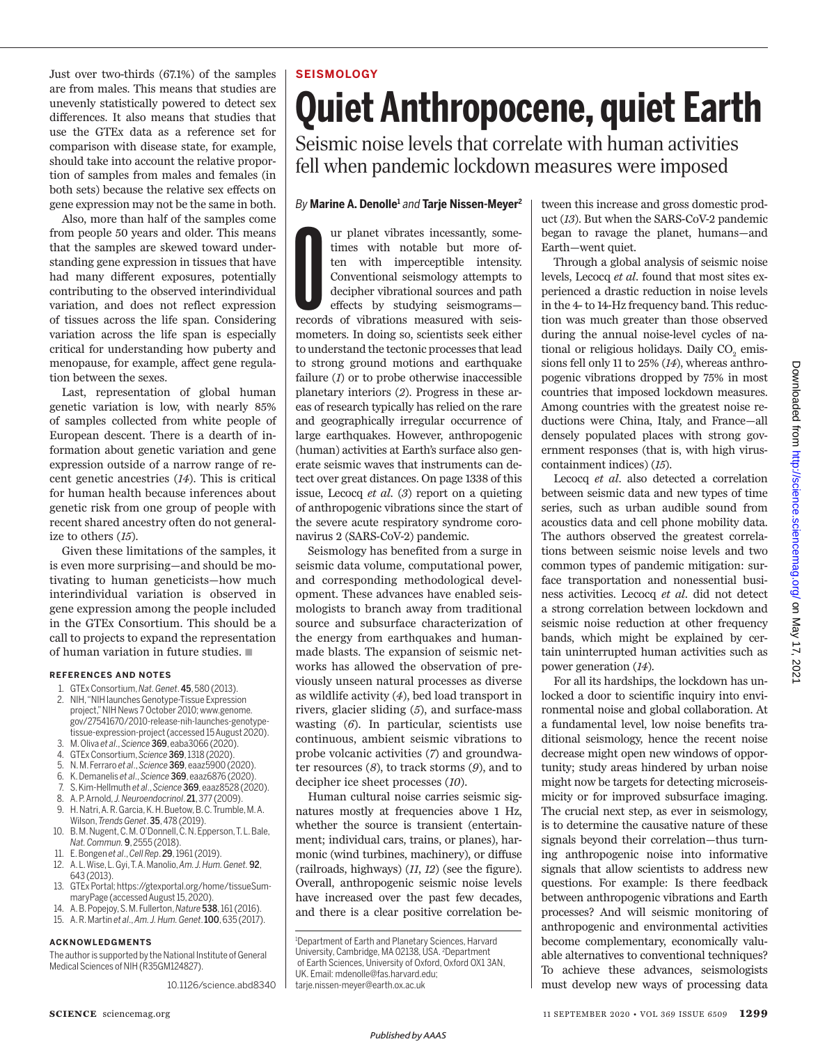Just over two-thirds (67.1%) of the samples are from males. This means that studies are unevenly statistically powered to detect sex differences. It also means that studies that use the GTEx data as a reference set for comparison with disease state, for example, should take into account the relative proportion of samples from males and females (in both sets) because the relative sex effects on gene expression may not be the same in both.

Also, more than half of the samples come from people 50 years and older. This means that the samples are skewed toward understanding gene expression in tissues that have had many different exposures, potentially contributing to the observed interindividual variation, and does not reflect expression of tissues across the life span. Considering variation across the life span is especially critical for understanding how puberty and menopause, for example, affect gene regulation between the sexes.

Last, representation of global human genetic variation is low, with nearly 85% of samples collected from white people of European descent. There is a dearth of information about genetic variation and gene expression outside of a narrow range of recent genetic ancestries (*14*). This is critical for human health because inferences about genetic risk from one group of people with recent shared ancestry often do not generalize to others (*15*).

Given these limitations of the samples, it is even more surprising—and should be motivating to human geneticists—how much interindividual variation is observed in gene expression among the people included in the GTEx Consortium. This should be a call to projects to expand the representation of human variation in future studies.  $\blacksquare$ 

#### **REFERENCES AND NOTES**

1. GTEx Consortium, *Nat. Genet*. 45, 580 (2013).

- 2. NIH, "NIH launches Genotype-Tissue Expression project," NIH News 7 October 2010; www.genome. gov/27541670/2010-release-nih-launches-genotypetissue-expression-project (accessed 15 August 2020).
- 3. M. Oliva *et al*., *Science* 369, eaba3066 (2020).
- 4. GTEx Consortium , *Science* 369, 1318 (2020).
- 5. N. M. Ferraro *et al*., *Science* 369, eaaz5900 (2020). 6. K. Demanelis *et al*., *Science* 369, eaaz6876 (2020).
- 7. S. Kim-Hellmuth *et al*., *Science* 369, eaaz8528 (2020).
- 8. A. P. Arnold, *J. Neuroendocrinol*. 21, 377 (2009).
- 9. H. Natri, A. R. Garcia, K. H. Buetow, B. C. Trumble, M. A. Wilson, *Trends Genet*. 35, 478 (2019).
- 10. B. M. Nugent, C. M. O'Donnell, C. N. Epperson, T. L. Bale, *Nat. Commun.* 9, 2555 (2018).
- 11. E. Bongen *et al*., *Cell Rep*. 29, 1961 (2019).
- 12. A. L. Wise, L. Gyi, T. A. Manolio, *Am. J. Hum. Genet.* 92, 643 (2013).
- 13. GTEx Portal; https://gtexportal.org/home/tissueSummaryPage (accessed August 15, 2020).
- 14. A. B. Popejoy, S. M. Fullerton, *Nature* 538, 161 (2016).
- 15. A. R. Martin *et al*., *Am. J. Hum. Genet*. 100, 635 (2017).

#### **ACKNOWLEDGMENTS**

 The author is supported by the National Institute of General Medical Sciences of NIH (R35GM124827).

10.1126/science.abd8340

# **SEISMOLOGY Quiet Anthropocene, quiet Earth**

Seismic noise levels that correlate with human activities fell when pandemic lockdown measures were imposed

### *By* **Marine A. Denolle<sup>1</sup>** *and* **Tarje Nissen-Meyer<sup>2</sup>**

The ur planet vibrates incessantly, sometimes with notable but more often with imperceptible intensity. Conventional seismology attempts to decipher vibrational sources and path effects by studying seismograms—records of v ur planet vibrates incessantly, sometimes with notable but more often with imperceptible intensity. Conventional seismology attempts to decipher vibrational sources and path effects by studying seismograms mometers. In doing so, scientists seek either to understand the tectonic processes that lead to strong ground motions and earthquake failure (*1*) or to probe otherwise inaccessible planetary interiors (*2*). Progress in these areas of research typically has relied on the rare and geographically irregular occurrence of large earthquakes. However, anthropogenic (human) activities at Earth's surface also generate seismic waves that instruments can detect over great distances. On page 1338 of this issue, Lecocq *et al.* (*3*) report on a quieting of anthropogenic vibrations since the start of the severe acute respiratory syndrome coronavirus 2 (SARS-CoV-2) pandemic.

Seismology has benefited from a surge in seismic data volume, computational power, and corresponding methodological development. These advances have enabled seismologists to branch away from traditional source and subsurface characterization of the energy from earthquakes and humanmade blasts. The expansion of seismic networks has allowed the observation of previously unseen natural processes as diverse as wildlife activity (*4*), bed load transport in rivers, glacier sliding (*5*), and surface-mass wasting (*6*). In particular, scientists use continuous, ambient seismic vibrations to probe volcanic activities (*7*) and groundwater resources (*8*), to track storms (*9*), and to decipher ice sheet processes (*10*).

Human cultural noise carries seismic signatures mostly at frequencies above 1 Hz, whether the source is transient (entertainment; individual cars, trains, or planes), harmonic (wind turbines, machinery), or diffuse (railroads, highways) (*11*, *12*) (see the figure). Overall, anthropogenic seismic noise levels have increased over the past few decades, and there is a clear positive correlation be-

<sup>1</sup>Department of Earth and Planetary Sciences, Harvard University, Cambridge, MA 02138, USA. <sup>2</sup>Department of Earth Sciences, University of Oxford, Oxford OX1 3AN, UK. Email: mdenolle@fas.harvard.edu; tarje.nissen-meyer@earth.ox.ac.uk

tween this increase and gross domestic product (*13*). But when the SARS-CoV-2 pandemic began to ravage the planet, humans—and Earth—went quiet.

Through a global analysis of seismic noise levels, Lecocq *et al.* found that most sites experienced a drastic reduction in noise levels in the 4- to 14-Hz frequency band. This reduction was much greater than those observed during the annual noise-level cycles of national or religious holidays. Daily  $\mathrm{CO}_2$  emissions fell only 11 to 25% (*14*), whereas anthropogenic vibrations dropped by 75% in most countries that imposed lockdown measures. Among countries with the greatest noise reductions were China, Italy, and France—all densely populated places with strong government responses (that is, with high viruscontainment indices) (*15*).

 Lecocq *et al.* also detected a correlation between seismic data and new types of time series, such as urban audible sound from acoustics data and cell phone mobility data. The authors observed the greatest correlations between seismic noise levels and two common types of pandemic mitigation: surface transportation and nonessential business activities. Lecocq *et al.* did not detect a strong correlation between lockdown and seismic noise reduction at other frequency bands, which might be explained by certain uninterrupted human activities such as power generation (*14*).

For all its hardships, the lockdown has unlocked a door to scientific inquiry into environmental noise and global collaboration. At a fundamental level, low noise benefits traditional seismology, hence the recent noise decrease might open new windows of opportunity; study areas hindered by urban noise might now be targets for detecting microseismicity or for improved subsurface imaging. The crucial next step, as ever in seismology, is to determine the causative nature of these signals beyond their correlation—thus turning anthropogenic noise into informative signals that allow scientists to address new questions. For example: Is there feedback between anthropogenic vibrations and Earth processes? And will seismic monitoring of anthropogenic and environmental activities become complementary, economically valuable alternatives to conventional techniques? To achieve these advances, seismologists must develop new ways of processing data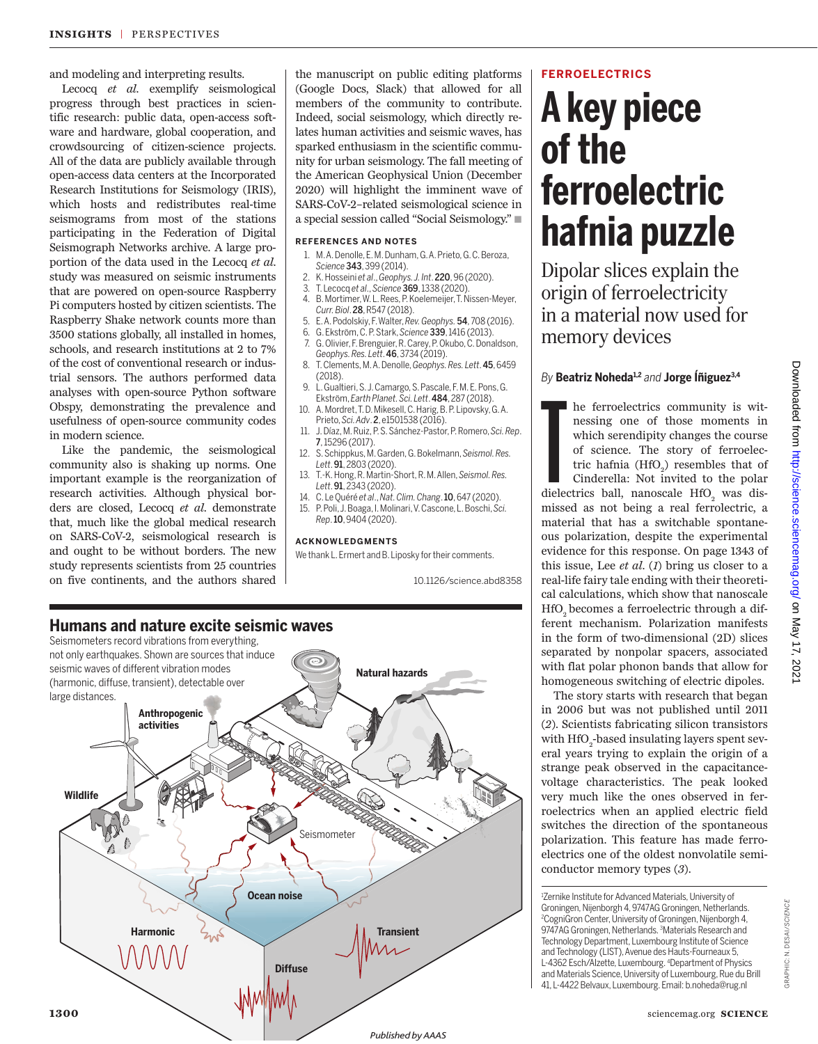and modeling and interpreting results.

Lecocq *et al*. exemplify seismological progress through best practices in scientific research: public data, open-access software and hardware, global cooperation, and crowdsourcing of citizen-science projects. All of the data are publicly available through open-access data centers at the Incorporated Research Institutions for Seismology (IRIS), which hosts and redistributes real-time seismograms from most of the stations participating in the Federation of Digital Seismograph Networks archive. A large proportion of the data used in the Lecocq *et al*. study was measured on seismic instruments that are powered on open-source Raspberry Pi computers hosted by citizen scientists. The Raspberry Shake network counts more than 3500 stations globally, all installed in homes, schools, and research institutions at 2 to 7% of the cost of conventional research or industrial sensors. The authors performed data analyses with open-source Python software Obspy, demonstrating the prevalence and usefulness of open-source community codes in modern science.

Like the pandemic, the seismological community also is shaking up norms. One important example is the reorganization of research activities. Although physical borders are closed, Lecocq *et al*. demonstrate that, much like the global medical research on SARS-CoV-2, seismological research is and ought to be without borders. The new study represents scientists from 25 countries on five continents, and the authors shared

the manuscript on public editing platforms (Google Docs, Slack) that allowed for all members of the community to contribute. Indeed, social seismology, which directly relates human activities and seismic waves, has sparked enthusiasm in the scientific community for urban seismology. The fall meeting of the American Geophysical Union (December 2020) will highlight the imminent wave of SARS-CoV-2–related seismological science in a special session called "Social Seismology."

#### **REFERENCES AND NOTES**

- 1. M. A. Denolle, E. M. Dunham, G. A. Prieto, G. C. Beroza, *Science* 343, 399 (2014).
- 2. K. Hosseini *et al*., *Geophys. J. Int*. 220, 96 (2020).
- 3. T. Lecocq *et al*., *Science* 369, 1338 (2020).
- 4. B. Mortimer, W. L. Rees, P. Koelemeijer, T. Nissen-Meyer, *Curr. Biol*. 28, R547 (2018).
- 5. E. A. Podolskiy, F. Walter, *Rev. Geophys.* 54, 708 (2016).
- 6. G. Ekström, C. P. Stark, *Science* 339, 1416 (2013).
- 7. G. Olivier, F. Brenguier, R. Carey, P. Okubo, C. Donaldson, *Geophys. Res. Lett*. 46, 3734 (2019).
- 8. T. Clements, M. A. Denolle, *Geophys. Res. Lett*. 45, 6459 (2018).
- 9. L. Gualtieri, S. J. Camargo, S. Pascale, F. M. E. Pons, G. Ekström, *Earth Planet. Sci. Lett*. 484, 287 (2018). 10. A. Mordret, T. D. Mikesell, C. Harig, B. P. Lipovsky, G. A.
- Prieto, *Sci. Adv*. 2, e1501538 (2016). 11. J. Díaz, M. Ruiz, P. S. Sánchez-Pastor, P. Romero, *Sci. Rep*.
- 7, 15296 (2017). 12. S. Schippkus, M. Garden, G. Bokelmann, *Seismol. Res.*
- *Lett*. 91, 2803 (2020).
- 13. T.-K. Hong, R. Martin-Short, R. M. Allen, *Seismol. Res. Lett*. 91, 2343 (2020).
- 14. C. Le Quéré *et al*., *Nat. Clim. Chang*. 10, 647 (2020). 15. P . Poli, J. Boaga, I. Molinari, V. Cascone, L. Boschi, *Sci. Rep*. 10, 9404 (2020).

#### **ACKN OWLEDGMENTS**

We thank L. Ermert and B. Liposky for their comments.

10.1126/science.abd8358



# **FERROELECTRICS**

# **A key piece of the ferroelectric hafnia puzzle**

Dipolar slices explain the origin of ferroelectricity in a material now used for memory devices

# *By* **Beatriz Noheda1,2** *and* **Jorge Íñiguez3,4**

The ferroelectrics community is with<br>nessing one of those moments in which serendipity changes the course<br>of science. The story of ferroelec-<br>tric hafnia (HfO<sub>2</sub>) resembles that of Cinderella: Not invited to the polar<br>die he ferroelectrics community is witnessing one of those moments in which serendipity changes the course of science. The story of ferroelectric hafnia  $(HfO<sub>2</sub>)$  resembles that of Cinderella: Not invited to the polar missed as not being a real ferrolectric, a material that has a switchable spontaneous polarization, despite the experimental evidence for this response. On page 1343 of this issue, Lee *et al*. (*1*) bring us closer to a real-life fairy tale ending with their theoretical calculations, which show that nanoscale HfO<sub>2</sub> becomes a ferroelectric through a different mechanism. Polarization manifests in the form of two-dimensional (2D) slices separated by nonpolar spacers, associated with flat polar phonon bands that allow for homogeneous switching of electric dipoles.

The story starts with research that began in 2006 but was not published until 2011 (*2*). Scientists fabricating silicon transistors with  $\rm{HfO_{2}}$ -based insulating layers spent several years trying to explain the origin of a strange peak observed in the capacitancevoltage characteristics. The peak looked very much like the ones observed in ferroelectrics when an applied electric field switches the direction of the spontaneous polarization. This feature has made ferroelectrics one of the oldest nonvolatile semiconductor memory types (*3*).

<sup>1</sup>Zernike Institute for Advanced Materials, University of Groningen, Nijenborgh 4, 9747AG Groningen, Netherlands. <sup>2</sup>CogniGron Center, University of Groningen, Nijenborgh 4, 9747AG Groningen, Netherlands. <sup>3</sup>Materials Research and Technology Department, Luxembourg Institute of Science and Technology (LIST), Avenue des Hauts-Fourneaux 5, L-4362 Esch/Alzette, Luxembourg. <sup>4</sup>Department of Physics and Materials Science, University of Luxembourg, Rue du Brill 41, L-4422 Belvaux, Luxembourg. Email: b.noheda@rug.nl

GRAPHIC: N. DESAI/*SCIENCE*

GRAPHIC: N. DESAI/SCIENCE